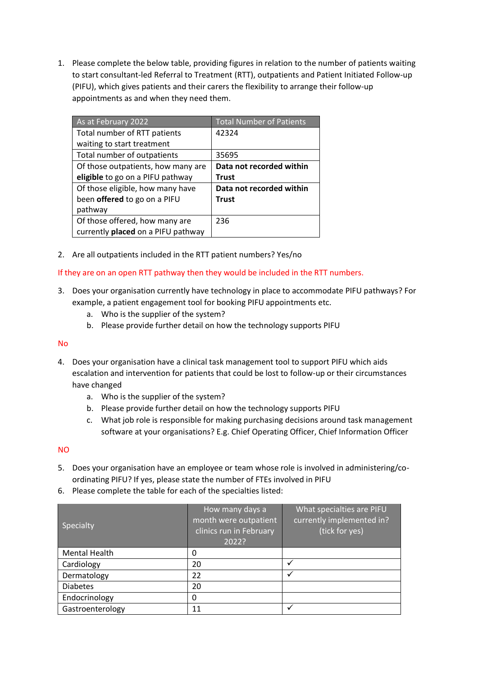1. Please complete the below table, providing figures in relation to the number of patients waiting to start consultant-led Referral to Treatment (RTT), outpatients and Patient Initiated Follow-up (PIFU), which gives patients and their carers the flexibility to arrange their follow-up appointments as and when they need them.

| As at February 2022                | <b>Total Number of Patients</b> |
|------------------------------------|---------------------------------|
| Total number of RTT patients       | 42324                           |
| waiting to start treatment         |                                 |
| Total number of outpatients        | 35695                           |
| Of those outpatients, how many are | Data not recorded within        |
| eligible to go on a PIFU pathway   | <b>Trust</b>                    |
| Of those eligible, how many have   | Data not recorded within        |
| been offered to go on a PIFU       | Trust                           |
| pathway                            |                                 |
| Of those offered, how many are     | 236                             |
| currently placed on a PIFU pathway |                                 |

2. Are all outpatients included in the RTT patient numbers? Yes/no

If they are on an open RTT pathway then they would be included in the RTT numbers.

- 3. Does your organisation currently have technology in place to accommodate PIFU pathways? For example, a patient engagement tool for booking PIFU appointments etc.
	- a. Who is the supplier of the system?
	- b. Please provide further detail on how the technology supports PIFU

## No

- 4. Does your organisation have a clinical task management tool to support PIFU which aids escalation and intervention for patients that could be lost to follow-up or their circumstances have changed
	- a. Who is the supplier of the system?
	- b. Please provide further detail on how the technology supports PIFU
	- c. What job role is responsible for making purchasing decisions around task management software at your organisations? E.g. Chief Operating Officer, Chief Information Officer

## NO

- 5. Does your organisation have an employee or team whose role is involved in administering/coordinating PIFU? If yes, please state the number of FTEs involved in PIFU
- 6. Please complete the table for each of the specialties listed:

| Specialty            | How many days a<br>month were outpatient<br>clinics run in February<br>2022? | What specialties are PIFU<br>currently implemented in?<br>(tick for yes) |
|----------------------|------------------------------------------------------------------------------|--------------------------------------------------------------------------|
| <b>Mental Health</b> | 0                                                                            |                                                                          |
| Cardiology           | 20                                                                           |                                                                          |
| Dermatology          | 22                                                                           |                                                                          |
| <b>Diabetes</b>      | 20                                                                           |                                                                          |
| Endocrinology        | 0                                                                            |                                                                          |
| Gastroenterology     | 11                                                                           |                                                                          |